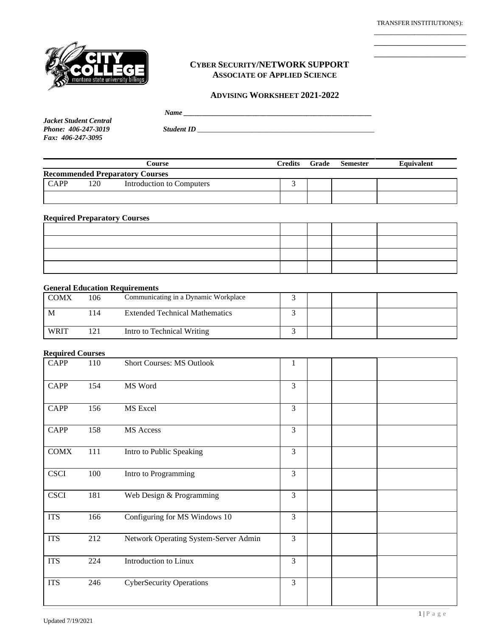\_\_\_\_\_\_\_\_\_\_\_\_\_\_\_\_\_\_\_ \_\_\_\_\_\_\_\_\_\_\_\_\_\_\_\_\_\_\_



## **CYBER SECURITY/NETWORK SUPPORT ASSOCIATE OF APPLIED SCIENCE**

#### **ADVISING WORKSHEET 2021-2022**

|               | $   -$<br> |
|---------------|------------|
| 1.1.01.1.01.1 |            |

*Jacket Student Central Fax: 406-247-3095*

*Phone: 406-247-3019 Student ID \_\_\_\_\_\_\_\_\_\_\_\_\_\_\_\_\_\_\_\_\_\_\_\_\_\_\_\_\_\_\_\_\_\_\_\_\_\_\_\_\_\_\_\_\_\_\_\_\_*

|                                        |     | Course                    | Credits | Grade | <b>Semester</b> | Equivalent |
|----------------------------------------|-----|---------------------------|---------|-------|-----------------|------------|
| <b>Recommended Preparatory Courses</b> |     |                           |         |       |                 |            |
| <b>CAPP</b>                            | 120 | Introduction to Computers |         |       |                 |            |
|                                        |     |                           |         |       |                 |            |

#### **Required Preparatory Courses**

### **General Education Requirements**

| <b>COMX</b> | 106 | Communicating in a Dynamic Workplace  |  |  |
|-------------|-----|---------------------------------------|--|--|
| M           | 14  | <b>Extended Technical Mathematics</b> |  |  |
| <b>WRIT</b> | 171 | Intro to Technical Writing            |  |  |

#### **Required Courses**

| <b>CAPP</b> | 110 | Short Courses: MS Outlook             | 1 |  |  |
|-------------|-----|---------------------------------------|---|--|--|
| <b>CAPP</b> | 154 | MS Word                               | 3 |  |  |
| <b>CAPP</b> | 156 | MS Excel                              | 3 |  |  |
| <b>CAPP</b> | 158 | MS Access                             | 3 |  |  |
| <b>COMX</b> | 111 | Intro to Public Speaking              | 3 |  |  |
| <b>CSCI</b> | 100 | Intro to Programming                  | 3 |  |  |
| <b>CSCI</b> | 181 | Web Design & Programming              | 3 |  |  |
| <b>ITS</b>  | 166 | Configuring for MS Windows 10         | 3 |  |  |
| <b>ITS</b>  | 212 | Network Operating System-Server Admin | 3 |  |  |
| <b>ITS</b>  | 224 | Introduction to Linux                 | 3 |  |  |
| <b>ITS</b>  | 246 | <b>CyberSecurity Operations</b>       | 3 |  |  |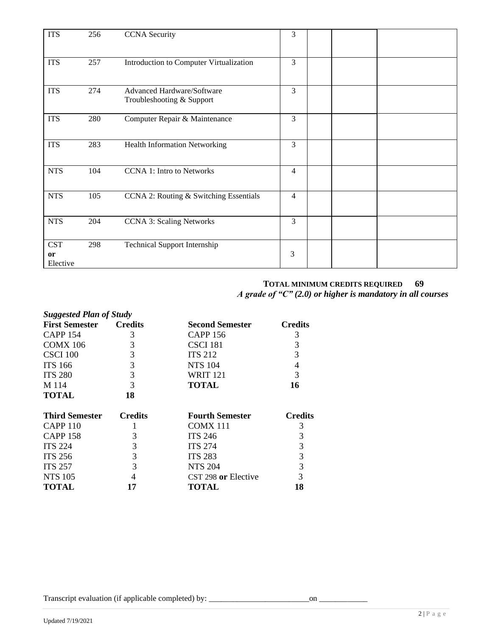| <b>ITS</b>                   | 256 | <b>CCNA</b> Security                                    | 3              |  |  |
|------------------------------|-----|---------------------------------------------------------|----------------|--|--|
| <b>ITS</b>                   | 257 | Introduction to Computer Virtualization                 | 3              |  |  |
| <b>ITS</b>                   | 274 | Advanced Hardware/Software<br>Troubleshooting & Support | 3              |  |  |
| <b>ITS</b>                   | 280 | Computer Repair & Maintenance                           | 3              |  |  |
| <b>ITS</b>                   | 283 | <b>Health Information Networking</b>                    | 3              |  |  |
| <b>NTS</b>                   | 104 | <b>CCNA 1: Intro to Networks</b>                        | $\overline{4}$ |  |  |
| <b>NTS</b>                   | 105 | CCNA 2: Routing & Switching Essentials                  | $\overline{4}$ |  |  |
| <b>NTS</b>                   | 204 | <b>CCNA 3: Scaling Networks</b>                         | 3              |  |  |
| <b>CST</b><br>or<br>Elective | 298 | <b>Technical Support Internship</b>                     | 3              |  |  |

# **TOTAL MINIMUM CREDITS REQUIRED 69**  *A grade of "C" (2.0) or higher is mandatory in all courses*

| <b>Suggested Plan of Study</b> |                |                        |                |
|--------------------------------|----------------|------------------------|----------------|
| <b>First Semester</b>          | <b>Credits</b> | <b>Second Semester</b> | <b>Credits</b> |
| <b>CAPP 154</b>                | 3              | CAPP 156               | 3              |
| <b>COMX 106</b>                | 3              | CSCI 181               | 3              |
| CSCI 100                       | 3              | <b>ITS 212</b>         | 3              |
| <b>ITS 166</b>                 | 3              | <b>NTS 104</b>         | 4              |
| <b>ITS 280</b>                 | 3              | <b>WRIT 121</b>        | 3              |
| M 114                          | 3              | TOTAL                  | 16             |
| <b>TOTAL</b>                   | 18             |                        |                |
| <b>Third Semester</b>          | <b>Credits</b> | <b>Fourth Semester</b> | <b>Credits</b> |
| CAPP 110                       | 1              | <b>COMX 111</b>        | 3              |
| <b>CAPP 158</b>                | 3              | <b>ITS 246</b>         | 3              |
| <b>ITS 224</b>                 | 3              | <b>ITS 274</b>         | 3              |
| <b>ITS 256</b>                 | 3              | <b>ITS 283</b>         | 3              |
| <b>ITS 257</b>                 | 3              | <b>NTS 204</b>         | 3              |
| <b>NTS 105</b>                 |                | CST 298 or Elective    | 3              |
| TOTAL                          | 17             | TOTAL                  | 18             |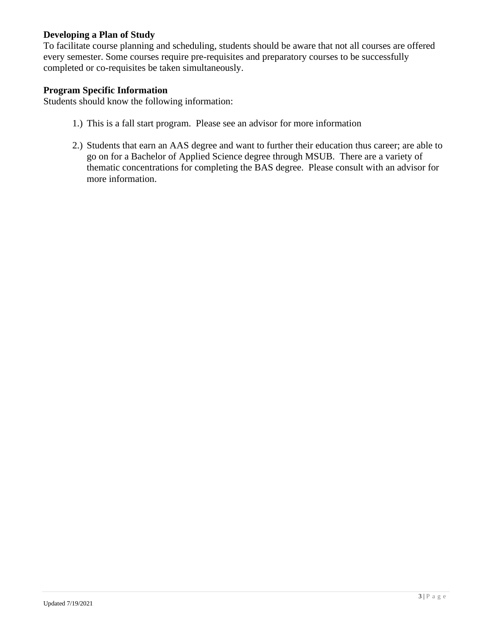# **Developing a Plan of Study**

To facilitate course planning and scheduling, students should be aware that not all courses are offered every semester. Some courses require pre-requisites and preparatory courses to be successfully completed or co-requisites be taken simultaneously.

## **Program Specific Information**

Students should know the following information:

- 1.) This is a fall start program. Please see an advisor for more information
- 2.) Students that earn an AAS degree and want to further their education thus career; are able to go on for a Bachelor of Applied Science degree through MSUB. There are a variety of thematic concentrations for completing the BAS degree. Please consult with an advisor for more information.